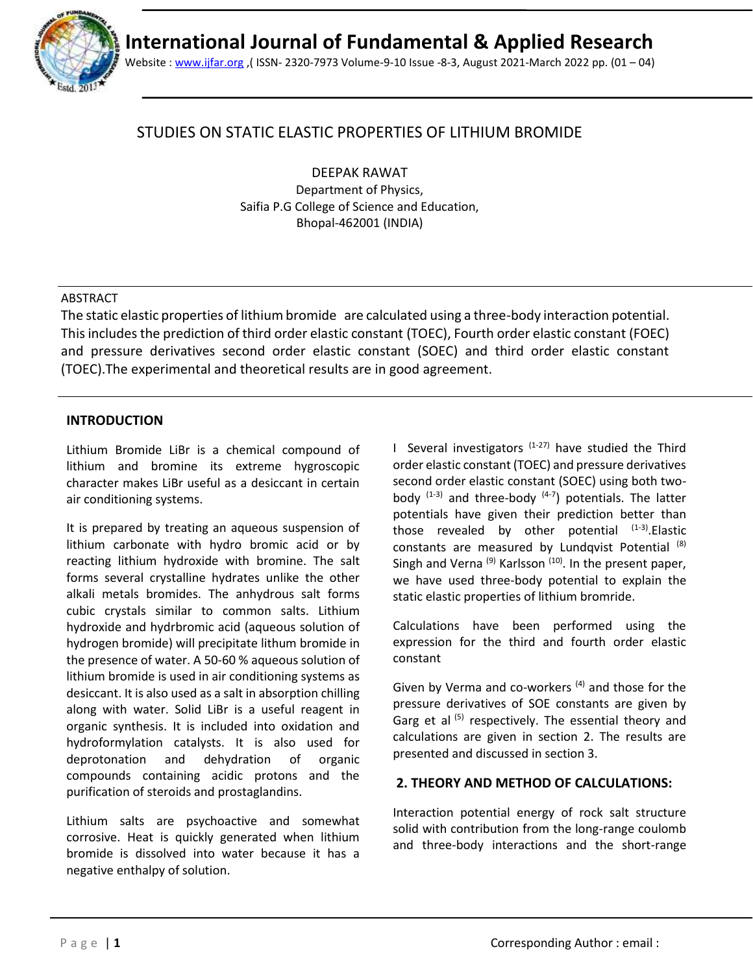

Website [: www.ijfar.org](http://www.ijfar.org/) ,( ISSN- 2320-7973 Volume-9-10 Issue -8-3, August 2021-March 2022 pp. (01 – 04)

# STUDIES ON STATIC ELASTIC PROPERTIES OF LITHIUM BROMIDE

DEEPAK RAWAT Department of Physics, Saifia P.G College of Science and Education, Bhopal-462001 (INDIA)

### ABSTRACT

The static elastic properties of lithium bromide are calculated using a three-body interaction potential. This includes the prediction of third order elastic constant (TOEC), Fourth order elastic constant (FOEC) and pressure derivatives second order elastic constant (SOEC) and third order elastic constant (TOEC).The experimental and theoretical results are in good agreement.

## **INTRODUCTION**

Lithium Bromide LiBr is a chemical compound of lithium and bromine its extreme hygroscopic character makes LiBr useful as a desiccant in certain air conditioning systems.

It is prepared by treating an aqueous suspension of lithium carbonate with hydro bromic acid or by reacting lithium hydroxide with bromine. The salt forms several crystalline hydrates unlike the other alkali metals bromides. The anhydrous salt forms cubic crystals similar to common salts. Lithium hydroxide and hydrbromic acid (aqueous solution of hydrogen bromide) will precipitate lithum bromide in the presence of water. A 50-60 % aqueous solution of lithium bromide is used in air conditioning systems as desiccant. It is also used as a salt in absorption chilling along with water. Solid LiBr is a useful reagent in organic synthesis. It is included into oxidation and hydroformylation catalysts. It is also used for deprotonation and dehydration of organic compounds containing acidic protons and the purification of steroids and prostaglandins.

Lithium salts are psychoactive and somewhat corrosive. Heat is quickly generated when lithium bromide is dissolved into water because it has a negative enthalpy of solution.

I Several investigators  $(1-27)$  have studied the Third order elastic constant (TOEC) and pressure derivatives second order elastic constant (SOEC) using both twobody  $(1-3)$  and three-body  $(4-7)$  potentials. The latter potentials have given their prediction better than those revealed by other potential  $(1-3)$ . Elastic constants are measured by Lundqvist Potential (8) Singh and Verna<sup>(9)</sup> Karlsson<sup>(10)</sup>. In the present paper, we have used three-body potential to explain the static elastic properties of lithium bromride.

Calculations have been performed using the expression for the third and fourth order elastic constant

Given by Verma and co-workers  $(4)$  and those for the pressure derivatives of SOE constants are given by Garg et al  $(5)$  respectively. The essential theory and calculations are given in section 2. The results are presented and discussed in section 3.

### **2. THEORY AND METHOD OF CALCULATIONS:**

Interaction potential energy of rock salt structure solid with contribution from the long-range coulomb and three-body interactions and the short-range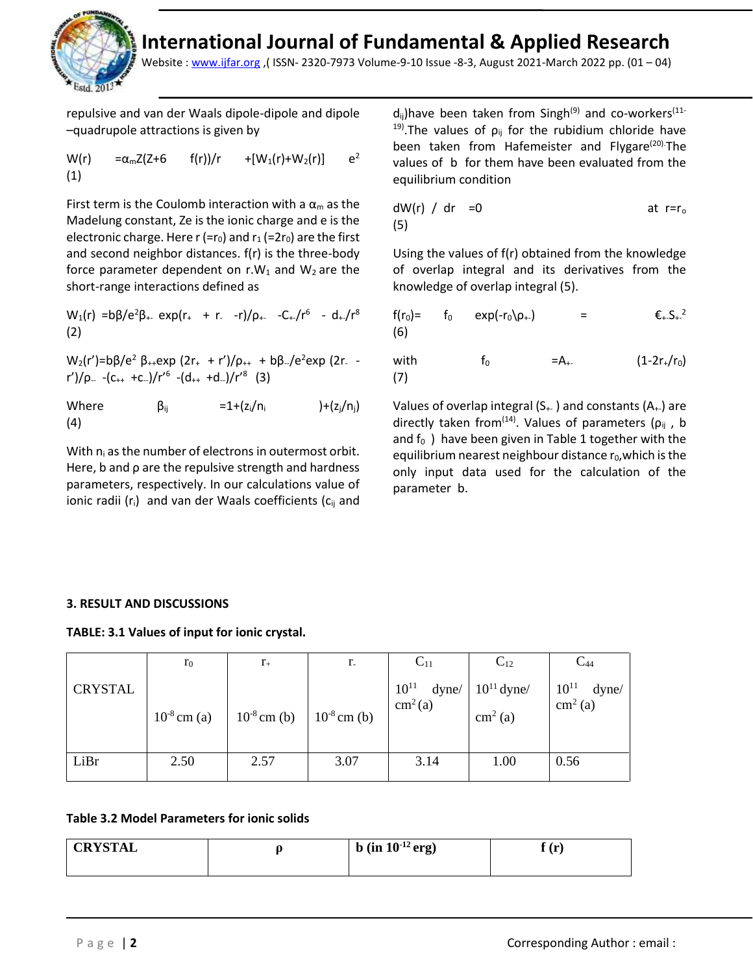

Website [: www.ijfar.org](http://www.ijfar.org/) ,( ISSN- 2320-7973 Volume-9-10 Issue -8-3, August 2021-March 2022 pp. (01 – 04)

repulsive and van der Waals dipole-dipole and dipole –quadrupole attractions is given by

W(r) =
$$
\alpha_m Z(Z+6
$$
 f(r))/r +[W<sub>1</sub>(r)+W<sub>2</sub>(r)] e<sup>2</sup>  
(1)

First term is the Coulomb interaction with a  $\alpha_m$  as the Madelung constant, Ze is the ionic charge and e is the electronic charge. Here  $r$  (= $r_0$ ) and  $r_1$  (= $2r_0$ ) are the first and second neighbor distances. f(r) is the three-body force parameter dependent on  $r.W_1$  and  $W_2$  are the short-range interactions defined as

 $W_1(r) = b\beta/e^2\beta_+$  exp(r<sub>+</sub> + r<sub>-</sub> -r)/ρ<sub>+-</sub> -C<sub>+-</sub>/r<sup>6</sup> - d<sub>+</sub>/r<sup>8</sup> (2)

 $W_2(r')=b\beta/e^2 \beta_{++}exp (2r_+ + r')/\rho_{++} + b\beta_{-}/e^2 exp (2r_{-} - r')$ r')/ρ<sub>--</sub> -(c<sub>++</sub> +c<sub>--</sub>)/r<sup>'6</sup> -(d<sub>++</sub> +d<sub>--</sub>)/r'<sup>8</sup> (3)

Where  $\beta_{ij} = 1 + (z_i/n_i) + (z_i/n_i)$ (4)

With  $n_i$  as the number of electrons in outermost orbit. Here, b and ρ are the repulsive strength and hardness parameters, respectively. In our calculations value of ionic radii  $(r_i)$  and van der Waals coefficients ( $c_{ii}$  and

 $d_{ij}$ )have been taken from Singh<sup>(9)</sup> and co-workers<sup>(11-</sup> <sup>19)</sup>.The values of  $\rho_{ij}$  for the rubidium chloride have been taken from Hafemeister and Flygare<sup>(20).</sup>The values of b for them have been evaluated from the equilibrium condition

$$
dW(r) / dr = 0
$$
 at r=r<sub>o</sub>

Using the values of f(r) obtained from the knowledge of overlap integral and its derivatives from the knowledge of overlap integral (5).

$$
f(r_0) = f_0 \exp(-r_0)\rho_+ = \epsilon_{+}S_{+}^2
$$
  
(6)

with  $f_0 = A_{+-}$  (1-2r<sub>+</sub>/r<sub>0</sub>) (7)

Values of overlap integral  $(S_{++})$  and constants  $(A_{++})$  are directly taken from<sup>(14)</sup>. Values of parameters ( $\rho_{ij}$ , b and  $f_0$ ) have been given in Table 1 together with the equilibrium nearest neighbour distance  $r_0$ , which is the only input data used for the calculation of the parameter b.

### **3. RESULT AND DISCUSSIONS**

**TABLE: 3.1 Values of input for ionic crystal.** 

|                | $r_0$            | $r_{+}$          | $r_{-}$          | $C_{11}$                                  | $C_{12}$        | $C_{44}$                                |
|----------------|------------------|------------------|------------------|-------------------------------------------|-----------------|-----------------------------------------|
| <b>CRYSTAL</b> |                  |                  |                  | $10^{11}$<br>dyne/<br>cm <sup>2</sup> (a) | $10^{11}$ dyne/ | $10^{11}$<br>dyne/<br>$\text{cm}^2$ (a) |
|                | $10^{-8}$ cm (a) | $10^{-8}$ cm (b) | $10^{-8}$ cm (b) |                                           | $cm2$ (a)       |                                         |
|                |                  |                  |                  |                                           |                 |                                         |
| LiBr           | 2.50             | 2.57             | 3.07             | 3.14                                      | 1.00            | 0.56                                    |

### **Table 3.2 Model Parameters for ionic solids**

| <b>CRYSTAL</b> | b (in $10^{-12}$ erg) | $^{\circ}$ (ref.)<br>τ÷. |
|----------------|-----------------------|--------------------------|
|                |                       |                          |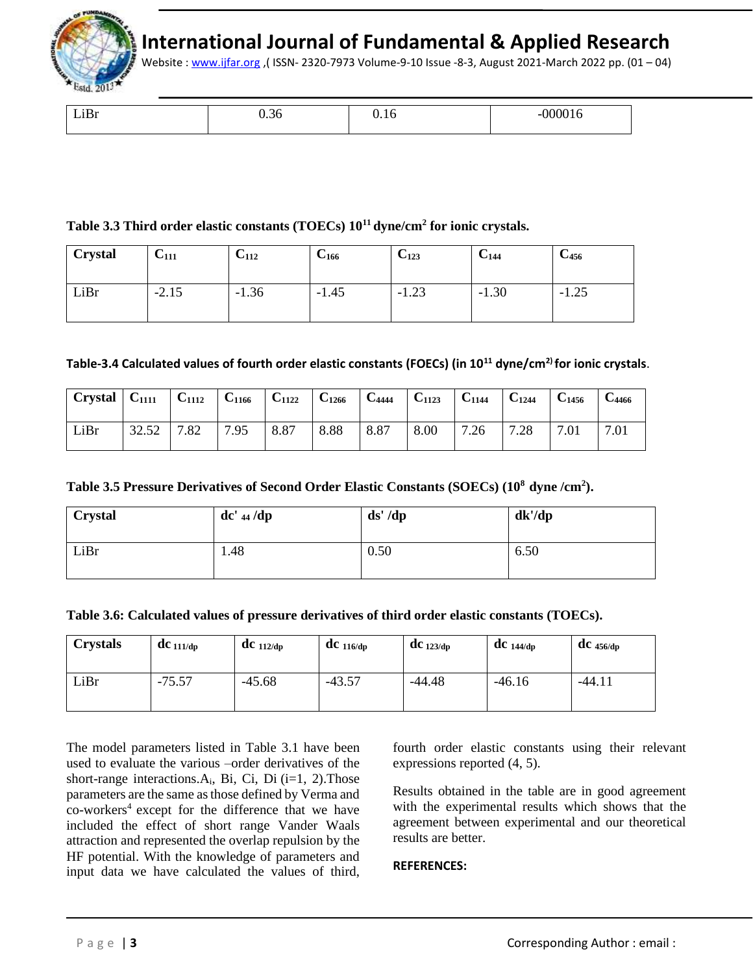

Website [: www.ijfar.org](http://www.ijfar.org/) ,( ISSN- 2320-7973 Volume-9-10 Issue -8-3, August 2021-March 2022 pp. (01 – 04)

| ---- | ∍. | $\cdot$ | $\frac{1}{2} \left( \frac{1}{2} \right) \left( \frac{1}{2} \right) \left( \frac{1}{2} \right) \left( \frac{1}{2} \right) \left( \frac{1}{2} \right)$ |
|------|----|---------|------------------------------------------------------------------------------------------------------------------------------------------------------|
|      |    |         |                                                                                                                                                      |

### **Table 3.3 Third order elastic constants (TOECs) 10<sup>11</sup>dyne/cm<sup>2</sup> for ionic crystals.**

| <b>Crystal</b> | U <sub>111</sub> | $U_{112}$ | $C_{166}$ | $C_{123}$ | U <sub>144</sub> | $C_{456}$ |
|----------------|------------------|-----------|-----------|-----------|------------------|-----------|
| LiBr           | $-2.15$          | $-1.36$   | $-1.45$   | $-1.23$   | $-1.30$          | $-1.25$   |

### **Table-3.4 Calculated values of fourth order elastic constants (FOECs) (in 10<sup>11</sup> dyne/cm2) for ionic crystals**.

| $\vert$ Crystal $\vert$ C <sub>1111</sub> |              | $C_{1112}$ | $C_{1166}$ | $C_{1122}$ | $C_{1266}$ | $C_{4444}$ | $C_{1123}$ | $C_{1144}$ | $C_{1244}$ | $C_{1456}$ | <b>C</b> 4466 |
|-------------------------------------------|--------------|------------|------------|------------|------------|------------|------------|------------|------------|------------|---------------|
| LiBr                                      | 32.52<br>ے ت | 7.82       | 7.95       | 8.87       | 8.88       | 8.87       | 8.00       | 7.26       | 7.28       |            | 7.01          |

### **Table 3.5 Pressure Derivatives of Second Order Elastic Constants (SOECs) (10<sup>8</sup>dyne /cm<sup>2</sup> ).**

| <b>Crystal</b> | $dc'$ 44 /dp | ds' /dp | dk'/dp |
|----------------|--------------|---------|--------|
| LiBr           | 1.48         | 0.50    | 6.50   |

| Table 3.6: Calculated values of pressure derivatives of third order elastic constants (TOECs). |  |  |  |  |
|------------------------------------------------------------------------------------------------|--|--|--|--|
|------------------------------------------------------------------------------------------------|--|--|--|--|

| <b>Crystals</b> | $dc$ 111/dp | $\bf{d}$ C 112/dp | $\mathbf{d}$ C 116/dp | $dC_{123/dp}$ | $\bf{d}$ C 144/dp | $\mathbf{d}$ C 456/dp |
|-----------------|-------------|-------------------|-----------------------|---------------|-------------------|-----------------------|
| LiBr            | $-75.57$    | $-45.68$          | $-43.57$              | -44.48        | $-46.16$          | $-44.11$              |

The model parameters listed in Table 3.1 have been used to evaluate the various –order derivatives of the short-range interactions. $A_i$ , Bi, Ci, Di (i=1, 2). Those parameters are the same as those defined by Verma and co-workers<sup>4</sup> except for the difference that we have included the effect of short range Vander Waals attraction and represented the overlap repulsion by the HF potential. With the knowledge of parameters and input data we have calculated the values of third, fourth order elastic constants using their relevant expressions reported (4, 5).

Results obtained in the table are in good agreement with the experimental results which shows that the agreement between experimental and our theoretical results are better.

#### **REFERENCES:**